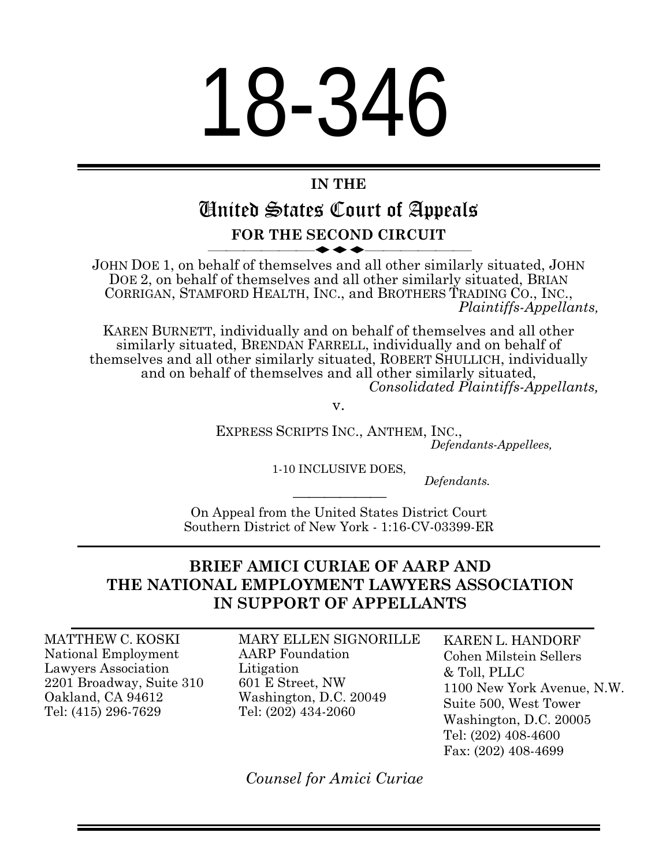# 18-346

# **IN THE**

# United States Court of Appeals **FOR THE SECOND CIRCUIT**

JOHN DOE 1, on behalf of themselves and all other similarly situated, JOHN DOE 2, on behalf of themselves and all other similarly situated, BRIAN CORRIGAN, STAMFORD HEALTH, INC., and BROTHERS TRADING CO., INC., *Plaintiffs-Appellants,*

KAREN BURNETT, individually and on behalf of themselves and all other similarly situated, BRENDAN FARRELL, individually and on behalf of themselves and all other similarly situated, ROBERT SHULLICH, individually and on behalf of themselves and all other similarly situated, *Consolidated Plaintiffs-Appellants,*

v.

EXPRESS SCRIPTS INC., ANTHEM, INC., *Defendants-Appellees,*

1-10 INCLUSIVE DOES,

*Defendants.*

 On Appeal from the United States District Court Southern District of New York - 1:16-CV-03399-ER

## **BRIEF AMICI CURIAE OF AARP AND THE NATIONAL EMPLOYMENT LAWYERS ASSOCIATION IN SUPPORT OF APPELLANTS**

MATTHEW C. KOSKI National Employment Lawyers Association 2201 Broadway, Suite 310 Oakland, CA 94612 Tel: (415) 296-7629

MARY ELLEN SIGNORILLE AARP Foundation Litigation 601 E Street, NW Washington, D.C. 20049 Tel: (202) 434-2060

KAREN L. HANDORF Cohen Milstein Sellers & Toll, PLLC 1100 New York Avenue, N.W. Suite 500, West Tower Washington, D.C. 20005 Tel: (202) 408-4600 Fax: (202) 408-4699

*Counsel for Amici Curiae*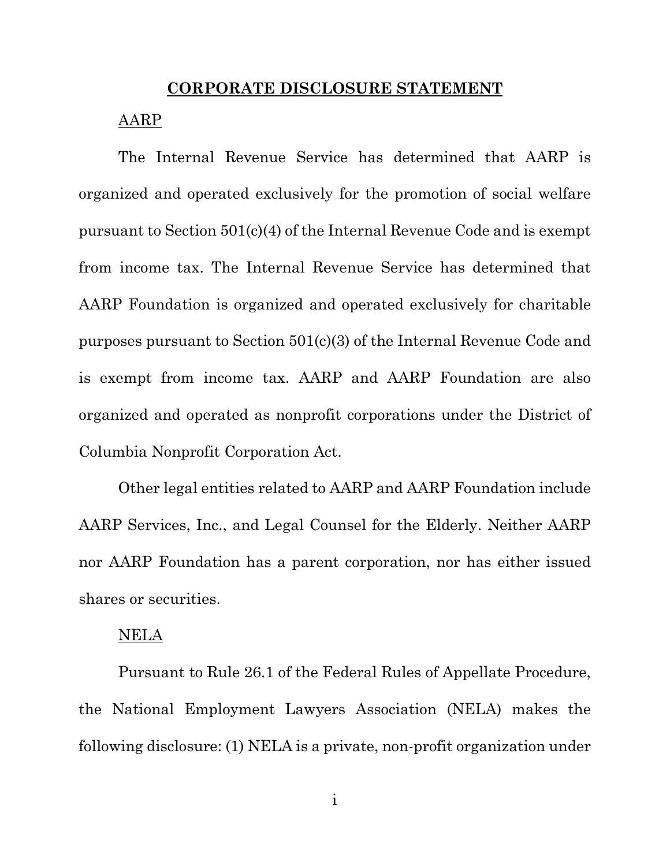#### **CORPORATE DISCLOSURE STATEMENT**

#### AARP

The Internal Revenue Service has determined that AARP is organized and operated exclusively for the promotion of social welfare pursuant to Section 501(c)(4) of the Internal Revenue Code and is exempt from income tax. The Internal Revenue Service has determined that AARP Foundation is organized and operated exclusively for charitable purposes pursuant to Section 501(c)(3) of the Internal Revenue Code and is exempt from income tax. AARP and AARP Foundation are also organized and operated as nonprofit corporations under the District of Columbia Nonprofit Corporation Act.

Other legal entities related to AARP and AARP Foundation include AARP Services, Inc., and Legal Counsel for the Elderly. Neither AARP nor AARP Foundation has a parent corporation, nor has either issued shares or securities.

#### NELA

Pursuant to Rule 26.1 of the Federal Rules of Appellate Procedure, the National Employment Lawyers Association (NELA) makes the following disclosure: (1) NELA is a private, non-profit organization under

i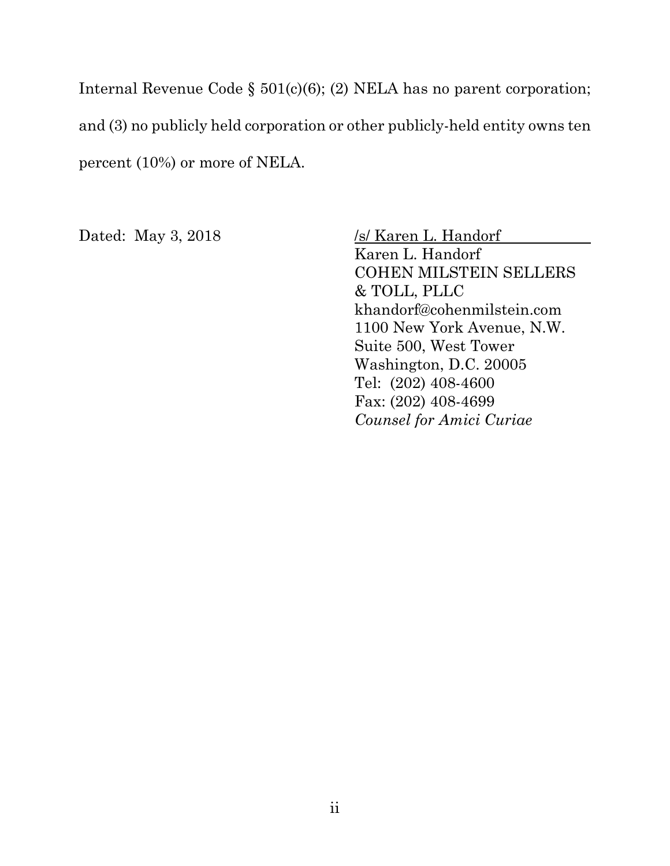Internal Revenue Code § 501(c)(6); (2) NELA has no parent corporation; and (3) no publicly held corporation or other publicly-held entity owns ten percent (10%) or more of NELA.

Dated: May 3, 2018 /s/ Karen L. Handorf Karen L. Handorf COHEN MILSTEIN SELLERS & TOLL, PLLC khandorf@cohenmilstein.com 1100 New York Avenue, N.W. Suite 500, West Tower Washington, D.C. 20005 Tel: (202) 408-4600 Fax: (202) 408-4699 *Counsel for Amici Curiae*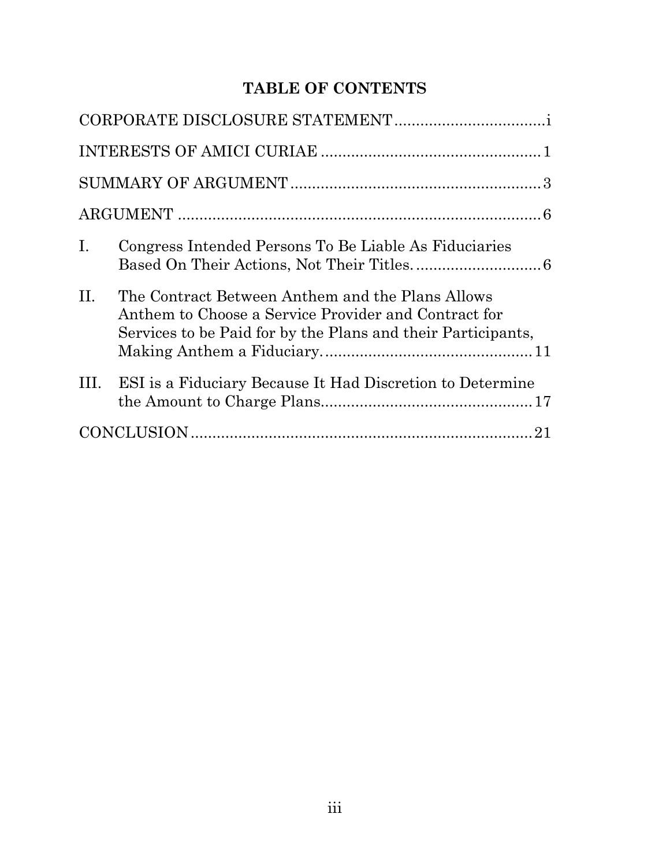# **TABLE OF CONTENTS**

| $\mathbf{I}$ . | Congress Intended Persons To Be Liable As Fiduciaries                                                                                                                    |  |
|----------------|--------------------------------------------------------------------------------------------------------------------------------------------------------------------------|--|
| II.            | The Contract Between Anthem and the Plans Allows<br>Anthem to Choose a Service Provider and Contract for<br>Services to be Paid for by the Plans and their Participants, |  |
| III.           | ESI is a Fiduciary Because It Had Discretion to Determine                                                                                                                |  |
| 21             |                                                                                                                                                                          |  |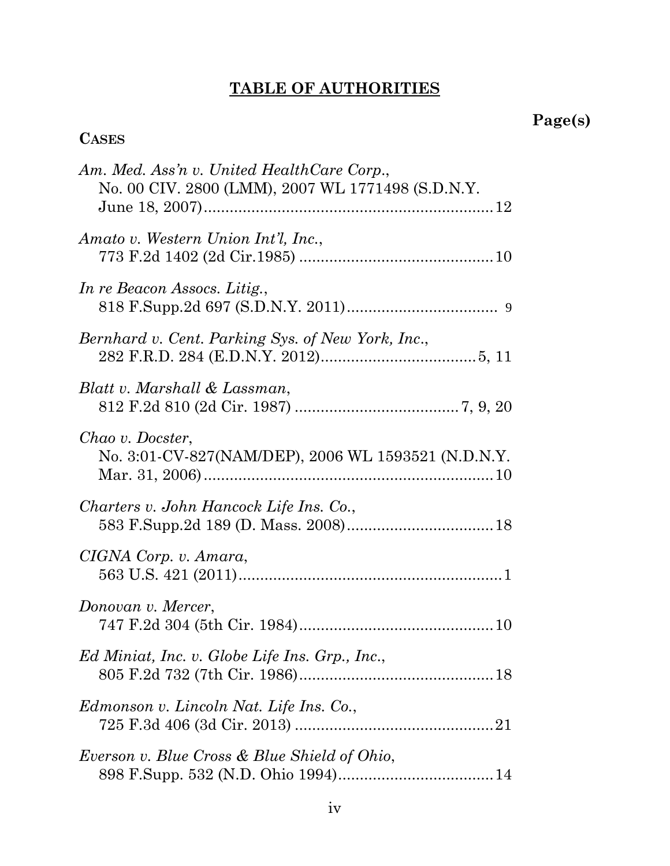# **TABLE OF AUTHORITIES**

# **Page(s)**

# **CASES**

| Am. Med. Ass'n v. United HealthCare Corp.,<br>No. 00 CIV. 2800 (LMM), 2007 WL 1771498 (S.D.N.Y. |
|-------------------------------------------------------------------------------------------------|
| Amato v. Western Union Int'l, Inc.,                                                             |
| In re Beacon Assocs. Litig.,                                                                    |
| Bernhard v. Cent. Parking Sys. of New York, Inc.,                                               |
| Blatt v. Marshall & Lassman,                                                                    |
| Chao v. Docster,<br>No. 3:01-CV-827(NAM/DEP), 2006 WL 1593521 (N.D.N.Y.                         |
| Charters v. John Hancock Life Ins. Co.,                                                         |
| CIGNA Corp. v. Amara,                                                                           |
| Donovan v. Mercer,                                                                              |
| Ed Miniat, Inc. v. Globe Life Ins. Grp., Inc.,                                                  |
| Edmonson v. Lincoln Nat. Life Ins. Co.,                                                         |
| Everson v. Blue Cross & Blue Shield of Ohio,                                                    |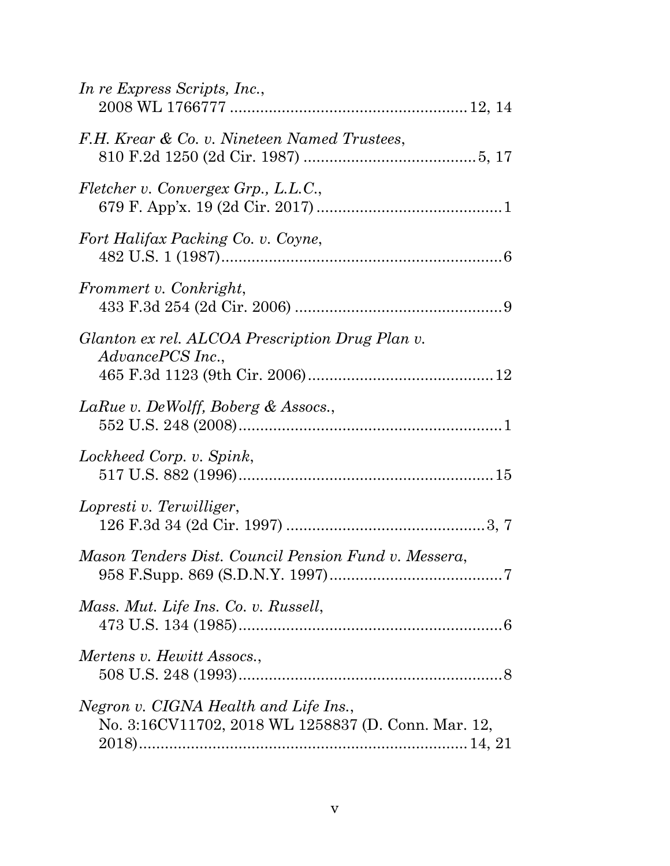| In re Express Scripts, Inc.,                                                                 |
|----------------------------------------------------------------------------------------------|
| F.H. Krear & Co. v. Nineteen Named Trustees,                                                 |
| Fletcher v. Convergex Grp., L.L.C.,                                                          |
| Fort Halifax Packing Co. v. Coyne,                                                           |
| Frommert v. Conkright,                                                                       |
| Glanton ex rel. ALCOA Prescription Drug Plan v.<br>AdvancePCS Inc.,                          |
| LaRue v. DeWolff, Boberg & Assocs.,                                                          |
| Lockheed Corp. v. Spink,                                                                     |
| Lopresti v. Terwilliger,                                                                     |
| Mason Tenders Dist. Council Pension Fund v. Messera,                                         |
| Mass. Mut. Life Ins. Co. v. Russell,                                                         |
| Mertens v. Hewitt Assocs.,                                                                   |
| Negron v. CIGNA Health and Life Ins.,<br>No. 3:16CV11702, 2018 WL 1258837 (D. Conn. Mar. 12, |
|                                                                                              |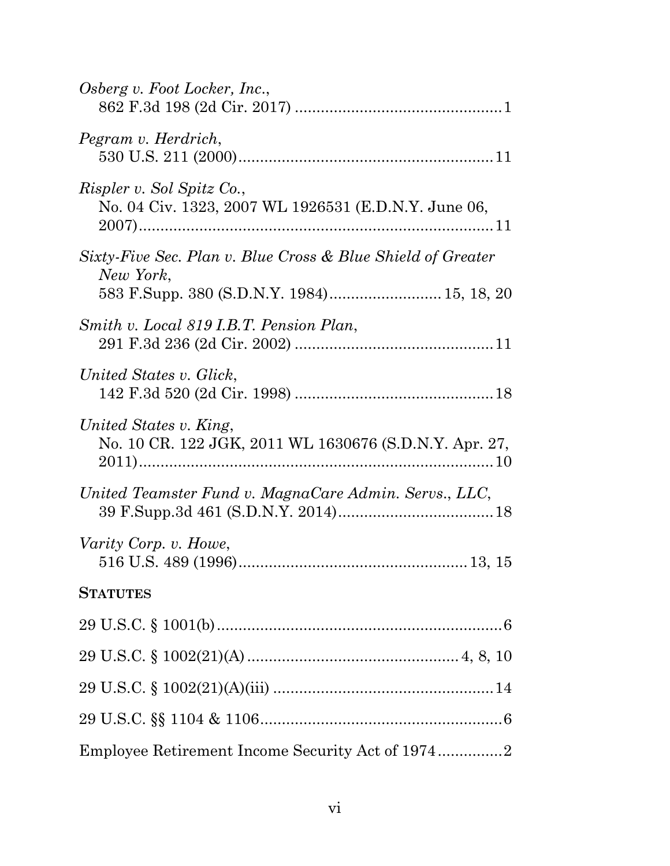| Osberg v. Foot Locker, Inc.,                                                                                           |
|------------------------------------------------------------------------------------------------------------------------|
| Pegram v. Herdrich,                                                                                                    |
| <i>Rispler v. Sol Spitz Co.,</i><br>No. 04 Civ. 1323, 2007 WL 1926531 (E.D.N.Y. June 06,                               |
| Sixty-Five Sec. Plan v. Blue Cross & Blue Shield of Greater<br>New York,<br>583 F.Supp. 380 (S.D.N.Y. 1984) 15, 18, 20 |
| Smith v. Local 819 I.B.T. Pension Plan,                                                                                |
| United States v. Glick,                                                                                                |
| United States v. King,<br>No. 10 CR. 122 JGK, 2011 WL 1630676 (S.D.N.Y. Apr. 27,                                       |
| United Teamster Fund v. MagnaCare Admin. Servs., LLC,                                                                  |
| Varity Corp. v. Howe,                                                                                                  |
| <b>STATUTES</b>                                                                                                        |
|                                                                                                                        |
|                                                                                                                        |
|                                                                                                                        |
|                                                                                                                        |
|                                                                                                                        |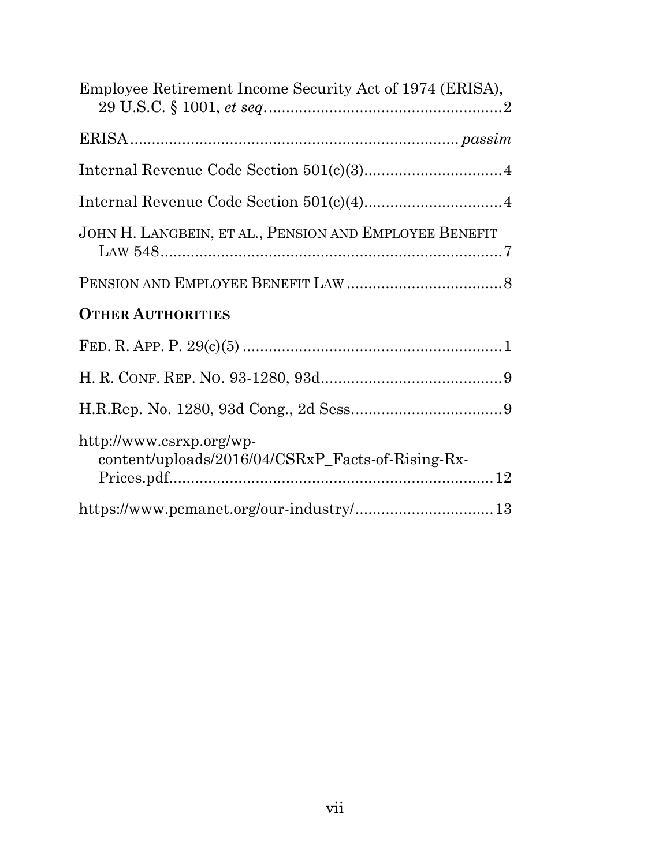| Employee Retirement Income Security Act of 1974 (ERISA),                      |
|-------------------------------------------------------------------------------|
|                                                                               |
|                                                                               |
|                                                                               |
| JOHN H. LANGBEIN, ET AL., PENSION AND EMPLOYEE BENEFIT                        |
|                                                                               |
| <b>OTHER AUTHORITIES</b>                                                      |
|                                                                               |
|                                                                               |
|                                                                               |
| http://www.csrxp.org/wp-<br>content/uploads/2016/04/CSRxP_Facts-of-Rising-Rx- |
| $\textbf{https://www.pcmanet.org/our-industry/13}$                            |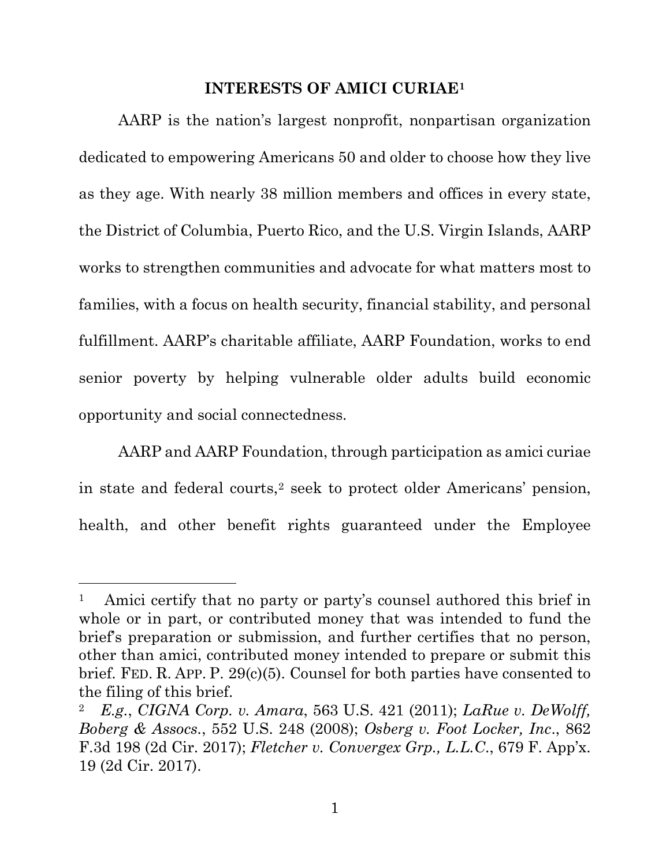#### **INTERESTS OF AMICI CURIAE1**

AARP is the nation's largest nonprofit, nonpartisan organization dedicated to empowering Americans 50 and older to choose how they live as they age. With nearly 38 million members and offices in every state, the District of Columbia, Puerto Rico, and the U.S. Virgin Islands, AARP works to strengthen communities and advocate for what matters most to families, with a focus on health security, financial stability, and personal fulfillment. AARP's charitable affiliate, AARP Foundation, works to end senior poverty by helping vulnerable older adults build economic opportunity and social connectedness.

AARP and AARP Foundation, through participation as amici curiae in state and federal courts,2 seek to protect older Americans' pension, health, and other benefit rights guaranteed under the Employee

 $\overline{a}$ 

Amici certify that no party or party's counsel authored this brief in whole or in part, or contributed money that was intended to fund the brief's preparation or submission, and further certifies that no person, other than amici, contributed money intended to prepare or submit this brief. FED. R. APP. P. 29(c)(5). Counsel for both parties have consented to the filing of this brief.

<sup>2</sup>*E.g.*, *CIGNA Corp. v. Amara*, 563 U.S. 421 (2011); *LaRue v. DeWolff, Boberg & Assocs.*, 552 U.S. 248 (2008); *Osberg v. Foot Locker, Inc*., 862 F.3d 198 (2d Cir. 2017); *Fletcher v. Convergex Grp., L.L.C*., 679 F. App'x. 19 (2d Cir. 2017).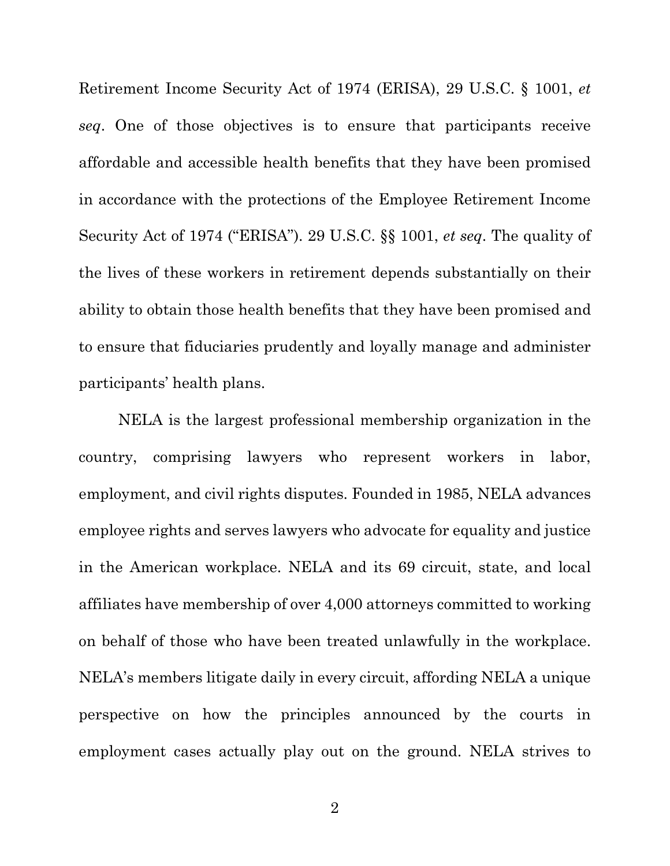Retirement Income Security Act of 1974 (ERISA), 29 U.S.C. § 1001, *et seq*. One of those objectives is to ensure that participants receive affordable and accessible health benefits that they have been promised in accordance with the protections of the Employee Retirement Income Security Act of 1974 ("ERISA"). 29 U.S.C. §§ 1001, *et seq*. The quality of the lives of these workers in retirement depends substantially on their ability to obtain those health benefits that they have been promised and to ensure that fiduciaries prudently and loyally manage and administer participants' health plans.

NELA is the largest professional membership organization in the country, comprising lawyers who represent workers in labor, employment, and civil rights disputes. Founded in 1985, NELA advances employee rights and serves lawyers who advocate for equality and justice in the American workplace. NELA and its 69 circuit, state, and local affiliates have membership of over 4,000 attorneys committed to working on behalf of those who have been treated unlawfully in the workplace. NELA's members litigate daily in every circuit, affording NELA a unique perspective on how the principles announced by the courts in employment cases actually play out on the ground. NELA strives to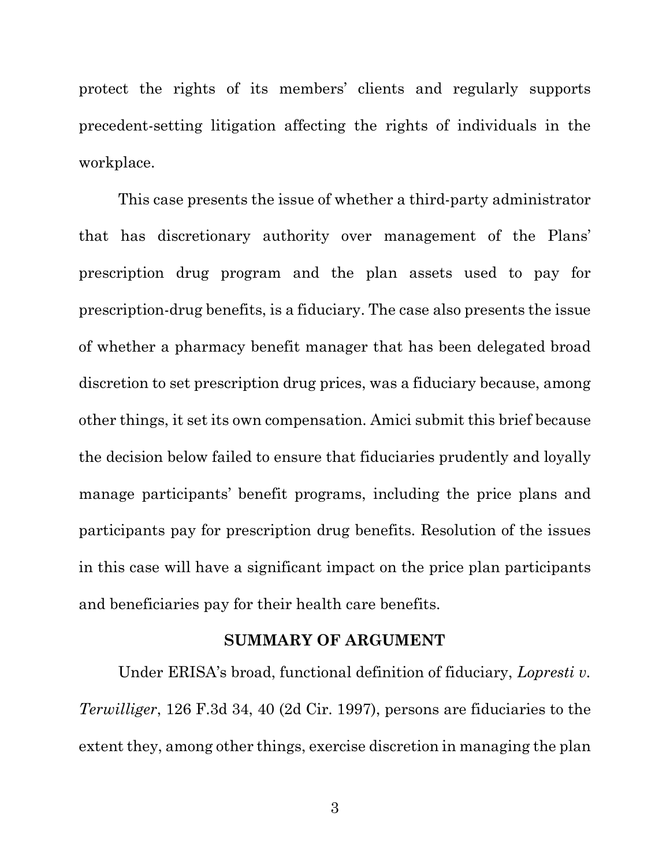protect the rights of its members' clients and regularly supports precedent-setting litigation affecting the rights of individuals in the workplace.

This case presents the issue of whether a third-party administrator that has discretionary authority over management of the Plans' prescription drug program and the plan assets used to pay for prescription-drug benefits, is a fiduciary. The case also presents the issue of whether a pharmacy benefit manager that has been delegated broad discretion to set prescription drug prices, was a fiduciary because, among other things, it set its own compensation. Amici submit this brief because the decision below failed to ensure that fiduciaries prudently and loyally manage participants' benefit programs, including the price plans and participants pay for prescription drug benefits. Resolution of the issues in this case will have a significant impact on the price plan participants and beneficiaries pay for their health care benefits.

#### **SUMMARY OF ARGUMENT**

Under ERISA's broad, functional definition of fiduciary, *Lopresti v. Terwilliger*, 126 F.3d 34, 40 (2d Cir. 1997), persons are fiduciaries to the extent they, among other things, exercise discretion in managing the plan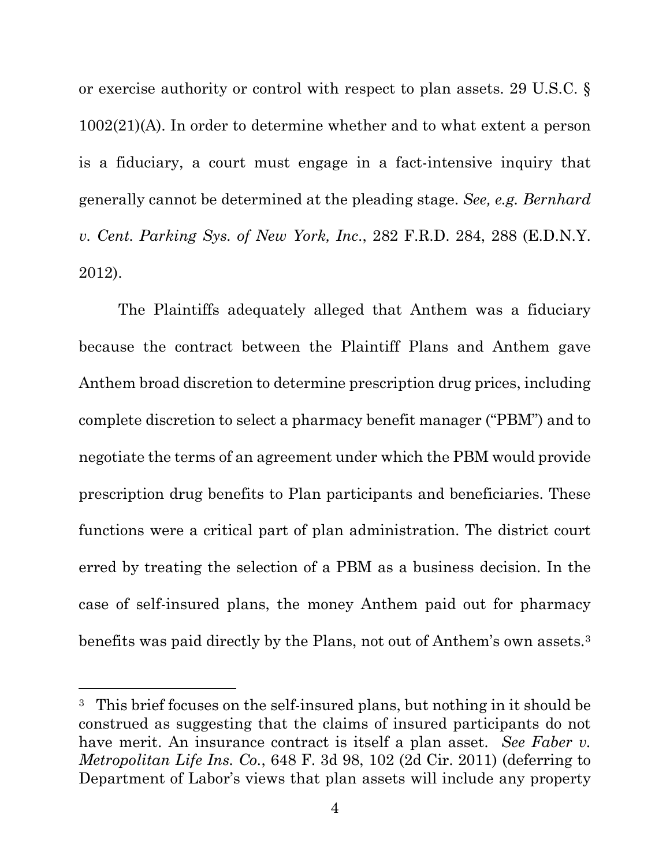or exercise authority or control with respect to plan assets. 29 U.S.C. § 1002(21)(A). In order to determine whether and to what extent a person is a fiduciary, a court must engage in a fact-intensive inquiry that generally cannot be determined at the pleading stage. *See, e.g. Bernhard v. Cent. Parking Sys. of New York, Inc*., 282 F.R.D. 284, 288 (E.D.N.Y. 2012).

The Plaintiffs adequately alleged that Anthem was a fiduciary because the contract between the Plaintiff Plans and Anthem gave Anthem broad discretion to determine prescription drug prices, including complete discretion to select a pharmacy benefit manager ("PBM") and to negotiate the terms of an agreement under which the PBM would provide prescription drug benefits to Plan participants and beneficiaries. These functions were a critical part of plan administration. The district court erred by treating the selection of a PBM as a business decision. In the case of self-insured plans, the money Anthem paid out for pharmacy benefits was paid directly by the Plans, not out of Anthem's own assets.3

l

<sup>3</sup> This brief focuses on the self-insured plans, but nothing in it should be construed as suggesting that the claims of insured participants do not have merit. An insurance contract is itself a plan asset. *See Faber v. Metropolitan Life Ins. Co.*, 648 F. 3d 98, 102 (2d Cir. 2011) (deferring to Department of Labor's views that plan assets will include any property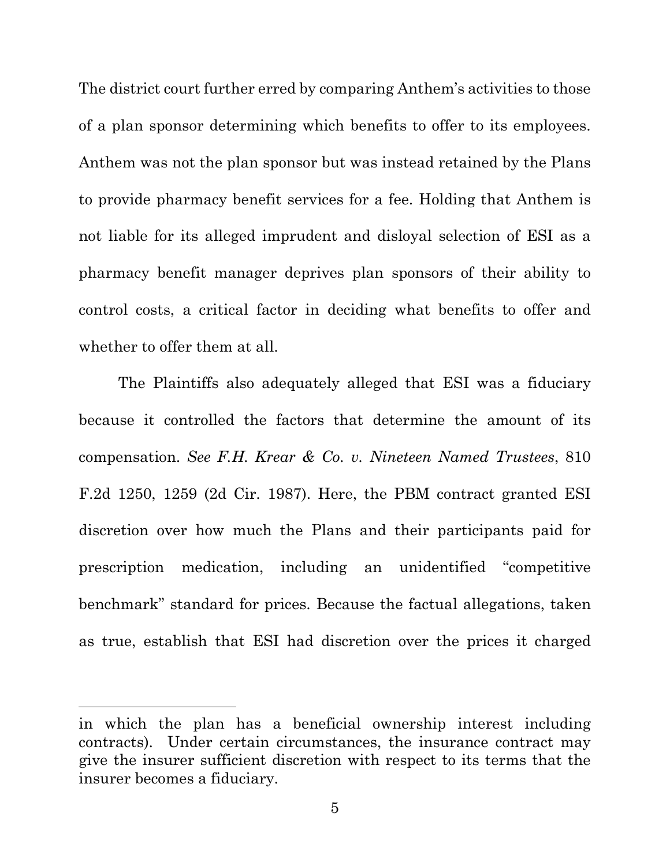The district court further erred by comparing Anthem's activities to those of a plan sponsor determining which benefits to offer to its employees. Anthem was not the plan sponsor but was instead retained by the Plans to provide pharmacy benefit services for a fee. Holding that Anthem is not liable for its alleged imprudent and disloyal selection of ESI as a pharmacy benefit manager deprives plan sponsors of their ability to control costs, a critical factor in deciding what benefits to offer and whether to offer them at all.

The Plaintiffs also adequately alleged that ESI was a fiduciary because it controlled the factors that determine the amount of its compensation. *See F.H. Krear & Co. v. Nineteen Named Trustees*, 810 F.2d 1250, 1259 (2d Cir. 1987). Here, the PBM contract granted ESI discretion over how much the Plans and their participants paid for prescription medication, including an unidentified "competitive benchmark" standard for prices. Because the factual allegations, taken as true, establish that ESI had discretion over the prices it charged

 $\overline{a}$ 

in which the plan has a beneficial ownership interest including contracts). Under certain circumstances, the insurance contract may give the insurer sufficient discretion with respect to its terms that the insurer becomes a fiduciary.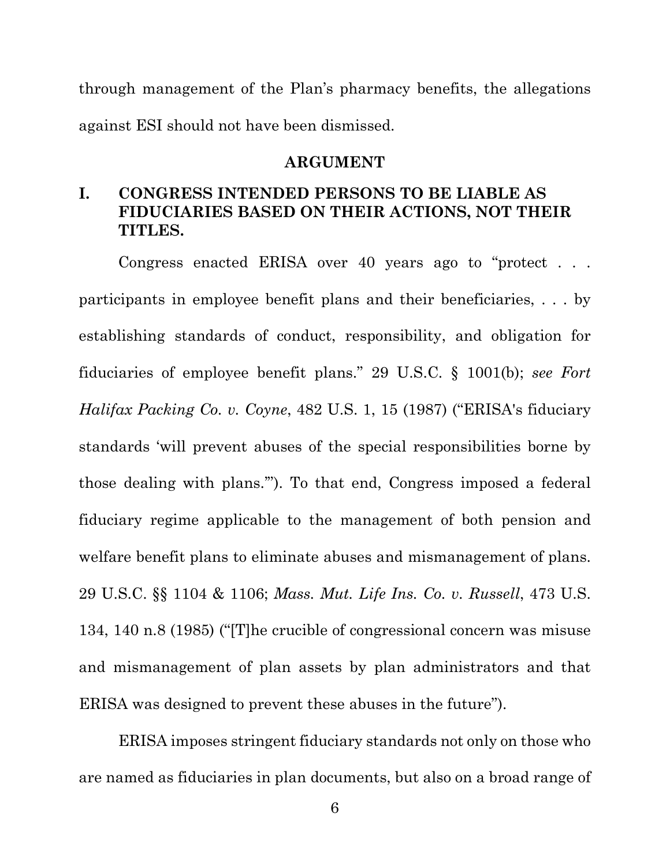through management of the Plan's pharmacy benefits, the allegations against ESI should not have been dismissed.

#### **ARGUMENT**

## **I. CONGRESS INTENDED PERSONS TO BE LIABLE AS FIDUCIARIES BASED ON THEIR ACTIONS, NOT THEIR TITLES.**

Congress enacted ERISA over 40 years ago to "protect . . . participants in employee benefit plans and their beneficiaries, . . . by establishing standards of conduct, responsibility, and obligation for fiduciaries of employee benefit plans." 29 U.S.C. § 1001(b); *see Fort Halifax Packing Co. v. Coyne*, 482 U.S. 1, 15 (1987) ("ERISA's fiduciary standards 'will prevent abuses of the special responsibilities borne by those dealing with plans.'"). To that end, Congress imposed a federal fiduciary regime applicable to the management of both pension and welfare benefit plans to eliminate abuses and mismanagement of plans. 29 U.S.C. §§ 1104 & 1106; *Mass. Mut. Life Ins. Co. v. Russell*, 473 U.S. 134, 140 n.8 (1985) ("[T]he crucible of congressional concern was misuse and mismanagement of plan assets by plan administrators and that ERISA was designed to prevent these abuses in the future").

ERISA imposes stringent fiduciary standards not only on those who are named as fiduciaries in plan documents, but also on a broad range of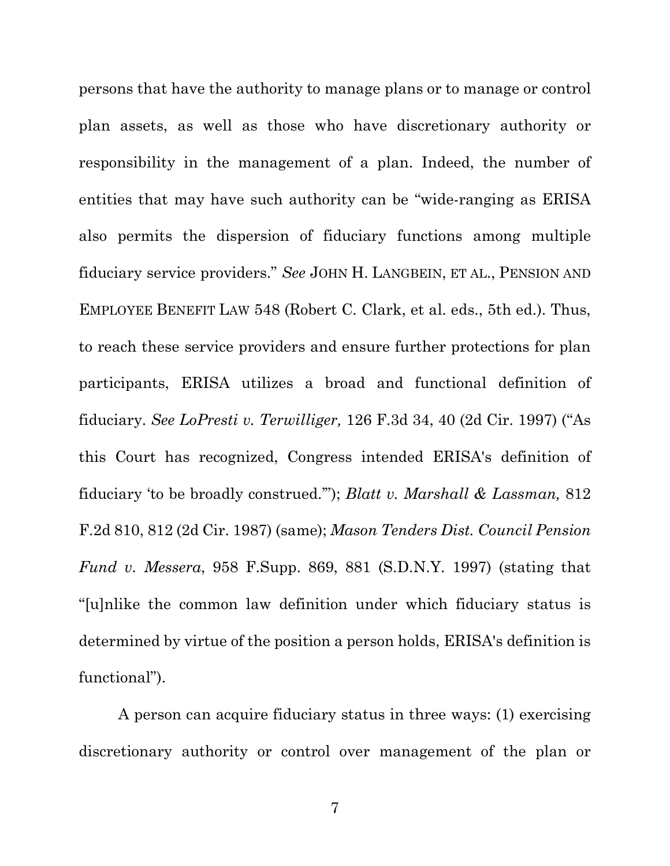persons that have the authority to manage plans or to manage or control plan assets, as well as those who have discretionary authority or responsibility in the management of a plan. Indeed, the number of entities that may have such authority can be "wide-ranging as ERISA also permits the dispersion of fiduciary functions among multiple fiduciary service providers." *See* JOHN H. LANGBEIN, ET AL., PENSION AND EMPLOYEE BENEFIT LAW 548 (Robert C. Clark, et al. eds., 5th ed.). Thus, to reach these service providers and ensure further protections for plan participants, ERISA utilizes a broad and functional definition of fiduciary. *See LoPresti v. Terwilliger,* 126 F.3d 34, 40 (2d Cir. 1997) ("As this Court has recognized, Congress intended ERISA's definition of fiduciary 'to be broadly construed.'"); *Blatt v. Marshall & Lassman,* 812 F.2d 810, 812 (2d Cir. 1987) (same); *Mason Tenders Dist. Council Pension Fund v. Messera*, 958 F.Supp. 869, 881 (S.D.N.Y. 1997) (stating that "[u]nlike the common law definition under which fiduciary status is determined by virtue of the position a person holds, ERISA's definition is functional").

A person can acquire fiduciary status in three ways: (1) exercising discretionary authority or control over management of the plan or

7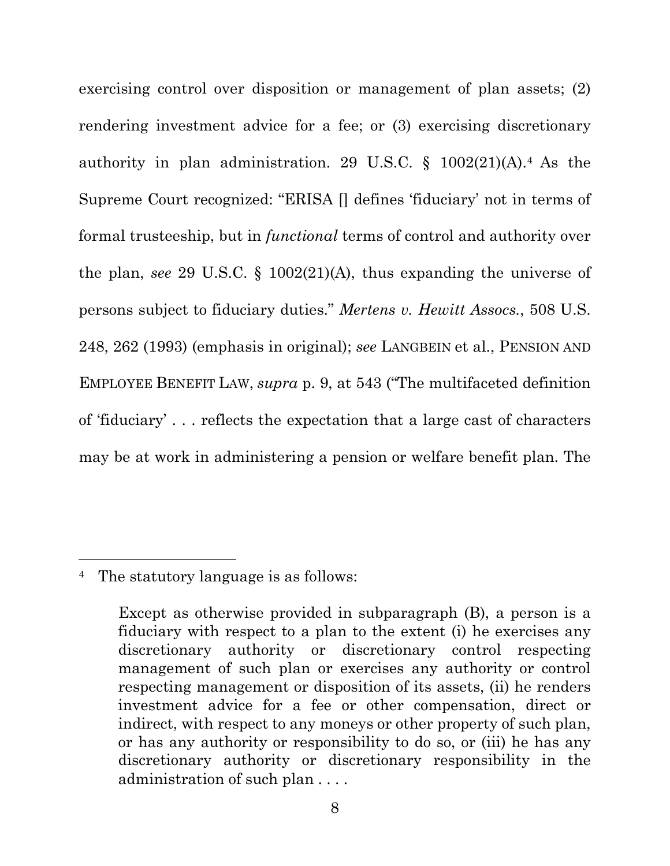exercising control over disposition or management of plan assets; (2) rendering investment advice for a fee; or (3) exercising discretionary authority in plan administration. 29 U.S.C.  $\S$  1002(21)(A).<sup>4</sup> As the Supreme Court recognized: "ERISA [] defines 'fiduciary' not in terms of formal trusteeship, but in *functional* terms of control and authority over the plan, *see* 29 U.S.C. § 1002(21)(A), thus expanding the universe of persons subject to fiduciary duties." *Mertens v. Hewitt Assocs.*, 508 U.S. 248, 262 (1993) (emphasis in original); *see* LANGBEIN et al., PENSION AND EMPLOYEE BENEFIT LAW, *supra* p. 9, at 543 ("The multifaceted definition of 'fiduciary' . . . reflects the expectation that a large cast of characters may be at work in administering a pension or welfare benefit plan. The

 $\overline{a}$ 

<sup>4</sup> The statutory language is as follows:

Except as otherwise provided in subparagraph (B), a person is a fiduciary with respect to a plan to the extent (i) he exercises any discretionary authority or discretionary control respecting management of such plan or exercises any authority or control respecting management or disposition of its assets, (ii) he renders investment advice for a fee or other compensation, direct or indirect, with respect to any moneys or other property of such plan, or has any authority or responsibility to do so, or (iii) he has any discretionary authority or discretionary responsibility in the administration of such plan . . . .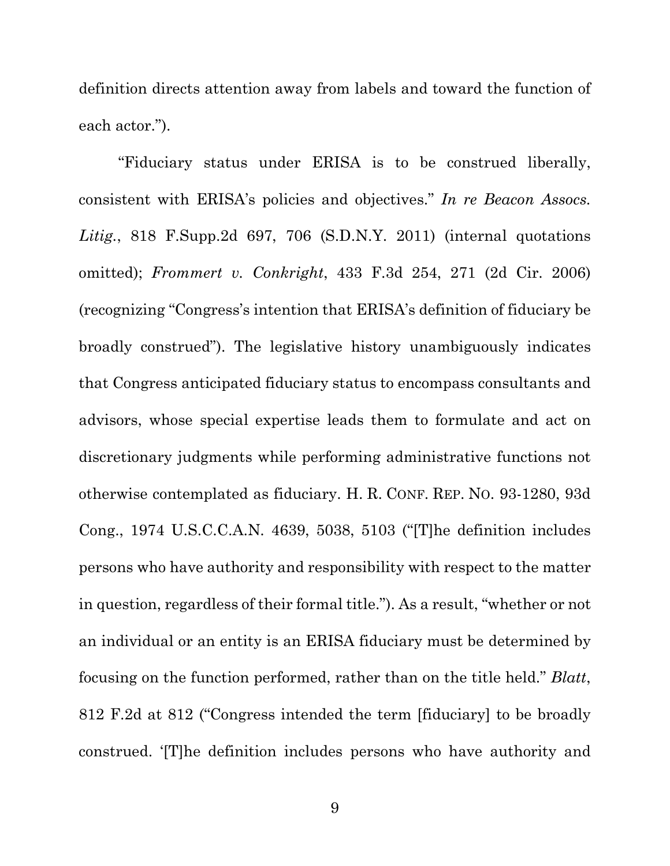definition directs attention away from labels and toward the function of each actor.").

"Fiduciary status under ERISA is to be construed liberally, consistent with ERISA's policies and objectives." *In re Beacon Assocs. Litig.*, 818 F.Supp.2d 697, 706 (S.D.N.Y. 2011) (internal quotations omitted); *Frommert v. Conkright*, 433 F.3d 254, 271 (2d Cir. 2006) (recognizing "Congress's intention that ERISA's definition of fiduciary be broadly construed"). The legislative history unambiguously indicates that Congress anticipated fiduciary status to encompass consultants and advisors, whose special expertise leads them to formulate and act on discretionary judgments while performing administrative functions not otherwise contemplated as fiduciary. H. R. CONF. REP. NO. 93-1280, 93d Cong., 1974 U.S.C.C.A.N. 4639, 5038, 5103 ("[T]he definition includes persons who have authority and responsibility with respect to the matter in question, regardless of their formal title."). As a result, "whether or not an individual or an entity is an ERISA fiduciary must be determined by focusing on the function performed, rather than on the title held." *Blatt*, 812 F.2d at 812 ("Congress intended the term [fiduciary] to be broadly construed. '[T]he definition includes persons who have authority and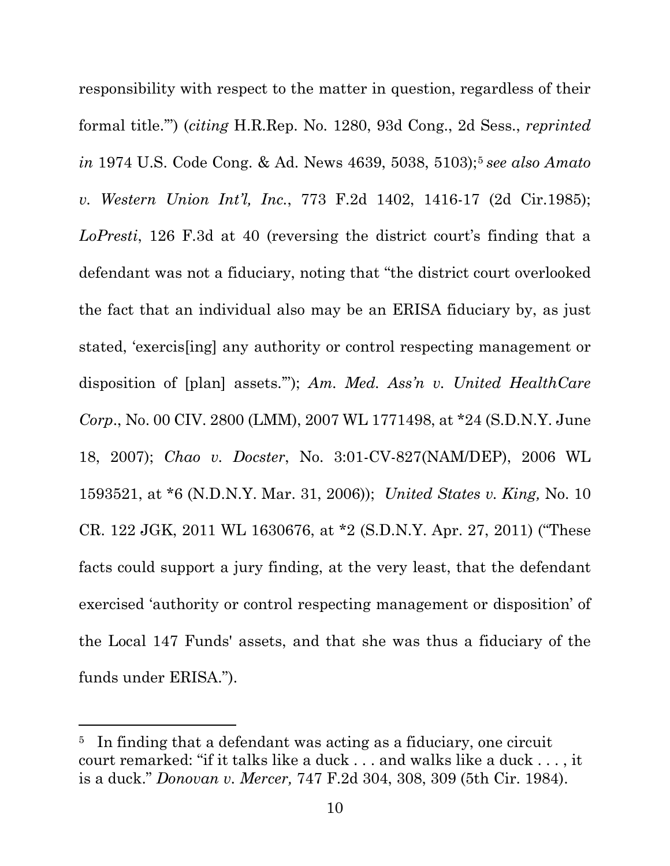responsibility with respect to the matter in question, regardless of their formal title.'") (*citing* H.R.Rep. No. 1280, 93d Cong., 2d Sess., *reprinted in* 1974 U.S. Code Cong. & Ad. News 4639, 5038, 5103);<sup>5</sup> see also Amato *v. Western Union Int'l, Inc.*, 773 F.2d 1402, 1416-17 (2d Cir.1985); *LoPresti*, 126 F.3d at 40 (reversing the district court's finding that a defendant was not a fiduciary, noting that "the district court overlooked the fact that an individual also may be an ERISA fiduciary by, as just stated, 'exercis[ing] any authority or control respecting management or disposition of [plan] assets.'"); *Am. Med. Ass'n v. United HealthCare Corp*., No. 00 CIV. 2800 (LMM), 2007 WL 1771498, at \*24 (S.D.N.Y. June 18, 2007); *Chao v. Docster*, No. 3:01-CV-827(NAM/DEP), 2006 WL 1593521, at \*6 (N.D.N.Y. Mar. 31, 2006)); *United States v. King,* No. 10 CR. 122 JGK, 2011 WL 1630676, at \*2 (S.D.N.Y. Apr. 27, 2011) ("These facts could support a jury finding, at the very least, that the defendant exercised 'authority or control respecting management or disposition' of the Local 147 Funds' assets, and that she was thus a fiduciary of the funds under ERISA.").

l

<sup>&</sup>lt;sup>5</sup> In finding that a defendant was acting as a fiduciary, one circuit court remarked: "if it talks like a duck . . . and walks like a duck . . . , it is a duck." *Donovan v. Mercer,* 747 F.2d 304, 308, 309 (5th Cir. 1984).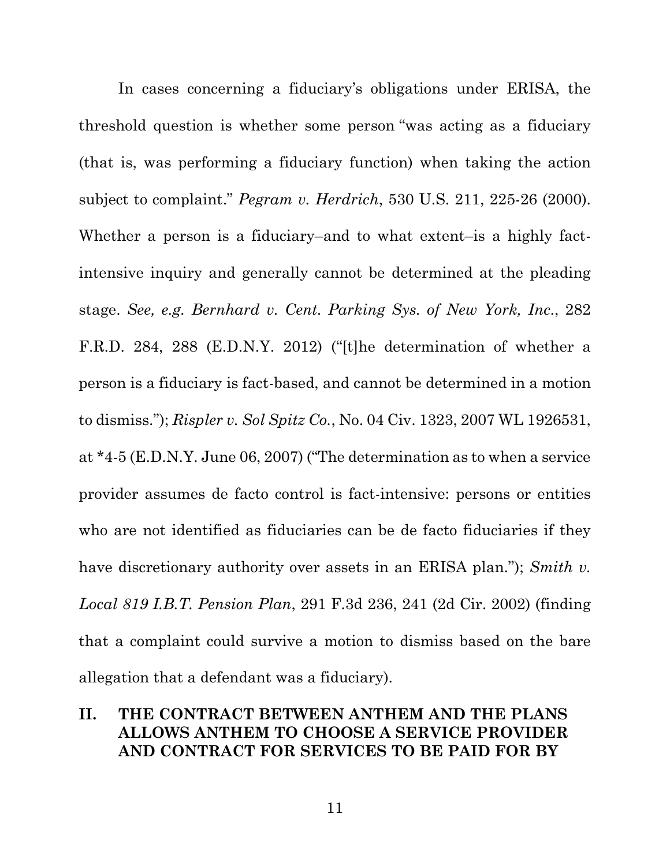In cases concerning a fiduciary's obligations under ERISA, the threshold question is whether some person "was acting as a fiduciary (that is, was performing a fiduciary function) when taking the action subject to complaint." *Pegram v. Herdrich*, 530 U.S. 211, 225-26 (2000). Whether a person is a fiduciary–and to what extent–is a highly factintensive inquiry and generally cannot be determined at the pleading stage. *See, e.g. Bernhard v. Cent. Parking Sys. of New York, Inc*., 282 F.R.D. 284, 288 (E.D.N.Y. 2012) ("[t]he determination of whether a person is a fiduciary is fact-based, and cannot be determined in a motion to dismiss."); *Rispler v. Sol Spitz Co.*, No. 04 Civ. 1323, 2007 WL 1926531, at \*4-5 (E.D.N.Y. June 06, 2007) ("The determination as to when a service provider assumes de facto control is fact-intensive: persons or entities who are not identified as fiduciaries can be de facto fiduciaries if they have discretionary authority over assets in an ERISA plan."); *Smith v. Local 819 I.B.T. Pension Plan*, 291 F.3d 236, 241 (2d Cir. 2002) (finding that a complaint could survive a motion to dismiss based on the bare allegation that a defendant was a fiduciary).

## **II. THE CONTRACT BETWEEN ANTHEM AND THE PLANS ALLOWS ANTHEM TO CHOOSE A SERVICE PROVIDER AND CONTRACT FOR SERVICES TO BE PAID FOR BY**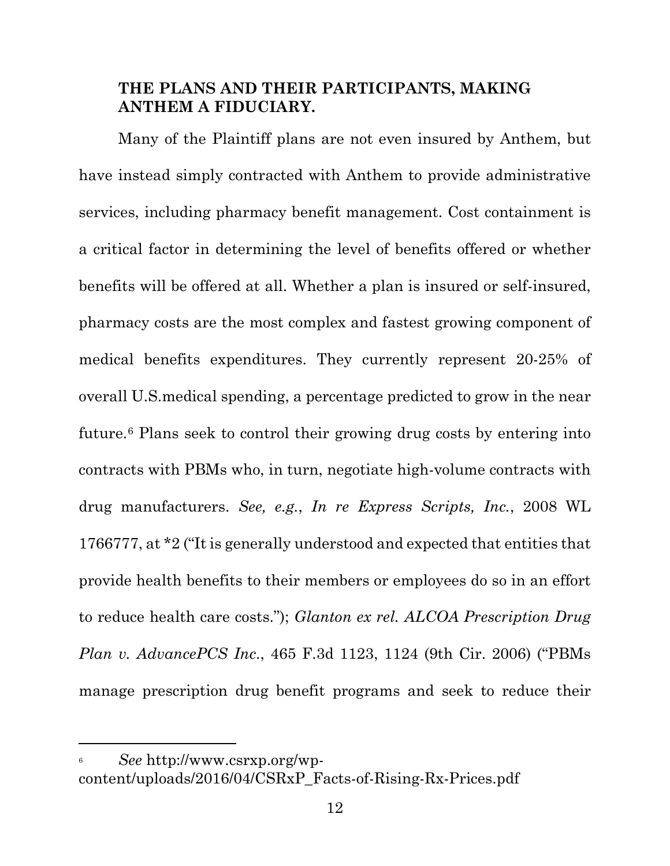## **THE PLANS AND THEIR PARTICIPANTS, MAKING ANTHEM A FIDUCIARY.**

Many of the Plaintiff plans are not even insured by Anthem, but have instead simply contracted with Anthem to provide administrative services, including pharmacy benefit management. Cost containment is a critical factor in determining the level of benefits offered or whether benefits will be offered at all. Whether a plan is insured or self-insured, pharmacy costs are the most complex and fastest growing component of medical benefits expenditures. They currently represent 20-25% of overall U.S.medical spending, a percentage predicted to grow in the near future.6 Plans seek to control their growing drug costs by entering into contracts with PBMs who, in turn, negotiate high-volume contracts with drug manufacturers. *See, e.g.*, *In re Express Scripts, Inc.*, 2008 WL 1766777, at \*2 ("It is generally understood and expected that entities that provide health benefits to their members or employees do so in an effort to reduce health care costs."); *Glanton ex rel. ALCOA Prescription Drug Plan v. AdvancePCS Inc*., 465 F.3d 1123, 1124 (9th Cir. 2006) ("PBMs manage prescription drug benefit programs and seek to reduce their

 $\overline{a}$ 

<sup>6</sup> *See* http://www.csrxp.org/wpcontent/uploads/2016/04/CSRxP\_Facts-of-Rising-Rx-Prices.pdf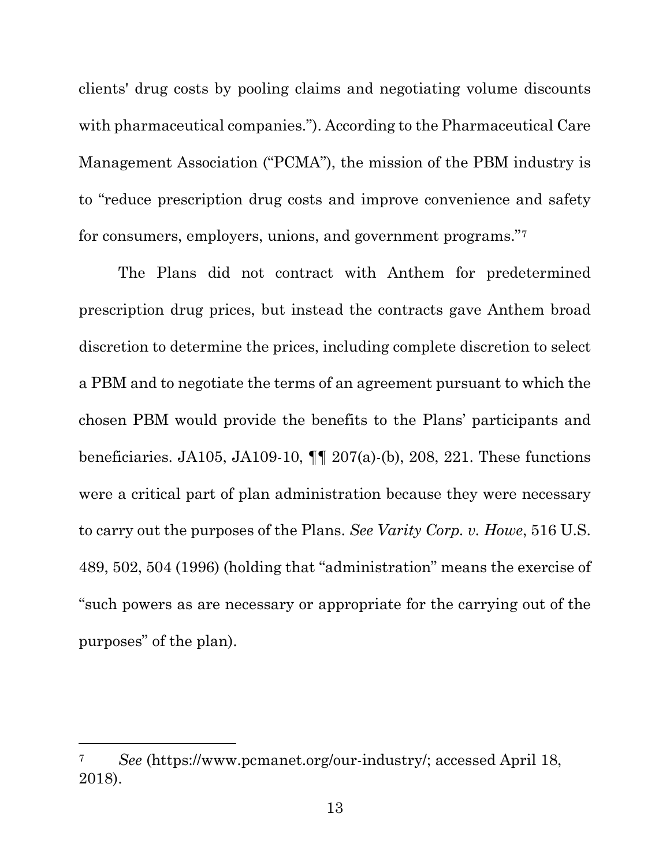clients' drug costs by pooling claims and negotiating volume discounts with pharmaceutical companies."). According to the Pharmaceutical Care Management Association ("PCMA"), the mission of the PBM industry is to "reduce prescription drug costs and improve convenience and safety for consumers, employers, unions, and government programs."7

The Plans did not contract with Anthem for predetermined prescription drug prices, but instead the contracts gave Anthem broad discretion to determine the prices, including complete discretion to select a PBM and to negotiate the terms of an agreement pursuant to which the chosen PBM would provide the benefits to the Plans' participants and beneficiaries. JA105, JA109-10, ¶¶ 207(a)-(b), 208, 221. These functions were a critical part of plan administration because they were necessary to carry out the purposes of the Plans. *See Varity Corp. v. Howe*, 516 U.S. 489, 502, 504 (1996) (holding that "administration" means the exercise of "such powers as are necessary or appropriate for the carrying out of the purposes" of the plan).

 $\overline{a}$ 

<sup>7</sup> *See* (https://www.pcmanet.org/our-industry/; accessed April 18, 2018).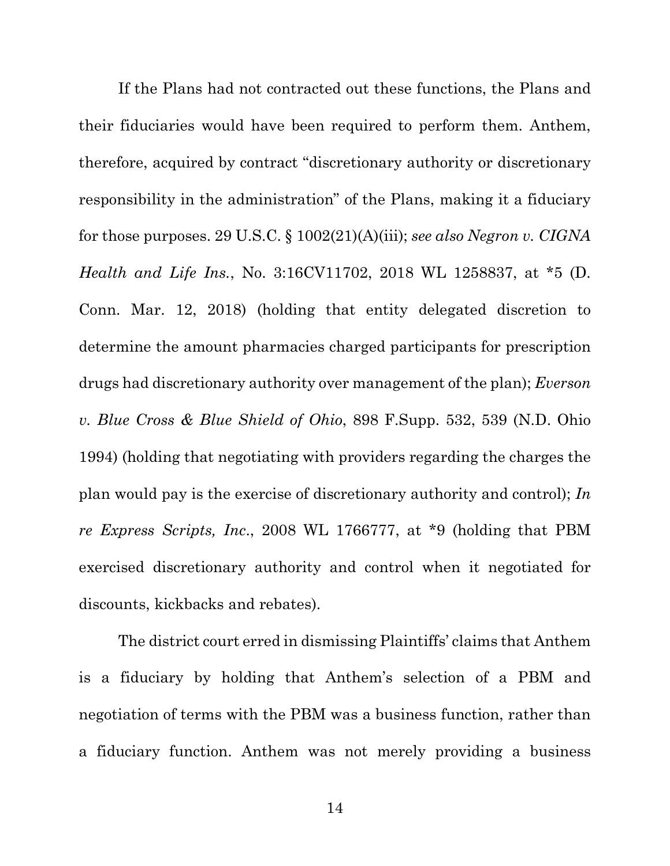If the Plans had not contracted out these functions, the Plans and their fiduciaries would have been required to perform them. Anthem, therefore, acquired by contract "discretionary authority or discretionary responsibility in the administration" of the Plans, making it a fiduciary for those purposes. 29 U.S.C. § 1002(21)(A)(iii); *see also Negron v. CIGNA Health and Life Ins.*, No. 3:16CV11702, 2018 WL 1258837, at \*5 (D. Conn. Mar. 12, 2018) (holding that entity delegated discretion to determine the amount pharmacies charged participants for prescription drugs had discretionary authority over management of the plan); *Everson v. Blue Cross & Blue Shield of Ohio*, 898 F.Supp. 532, 539 (N.D. Ohio 1994) (holding that negotiating with providers regarding the charges the plan would pay is the exercise of discretionary authority and control); *In re Express Scripts, Inc*., 2008 WL 1766777, at \*9 (holding that PBM exercised discretionary authority and control when it negotiated for discounts, kickbacks and rebates).

The district court erred in dismissing Plaintiffs' claims that Anthem is a fiduciary by holding that Anthem's selection of a PBM and negotiation of terms with the PBM was a business function, rather than a fiduciary function. Anthem was not merely providing a business

14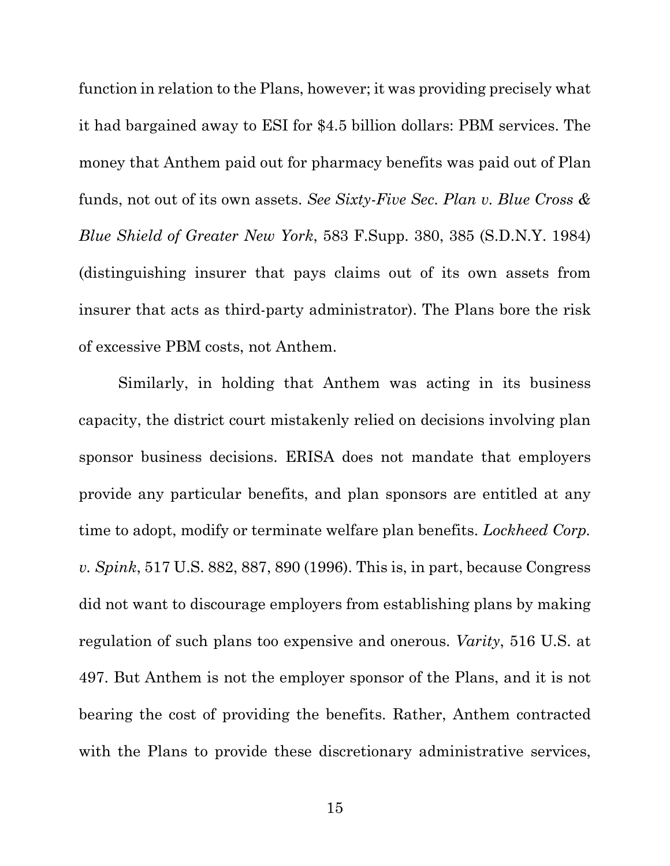function in relation to the Plans, however; it was providing precisely what it had bargained away to ESI for \$4.5 billion dollars: PBM services. The money that Anthem paid out for pharmacy benefits was paid out of Plan funds, not out of its own assets. *See Sixty-Five Sec. Plan v. Blue Cross & Blue Shield of Greater New York*, 583 F.Supp. 380, 385 (S.D.N.Y. 1984) (distinguishing insurer that pays claims out of its own assets from insurer that acts as third-party administrator). The Plans bore the risk of excessive PBM costs, not Anthem.

Similarly, in holding that Anthem was acting in its business capacity, the district court mistakenly relied on decisions involving plan sponsor business decisions. ERISA does not mandate that employers provide any particular benefits, and plan sponsors are entitled at any time to adopt, modify or terminate welfare plan benefits. *Lockheed Corp. v. Spink*, 517 U.S. 882, 887, 890 (1996). This is, in part, because Congress did not want to discourage employers from establishing plans by making regulation of such plans too expensive and onerous. *Varity*, 516 U.S. at 497. But Anthem is not the employer sponsor of the Plans, and it is not bearing the cost of providing the benefits. Rather, Anthem contracted with the Plans to provide these discretionary administrative services,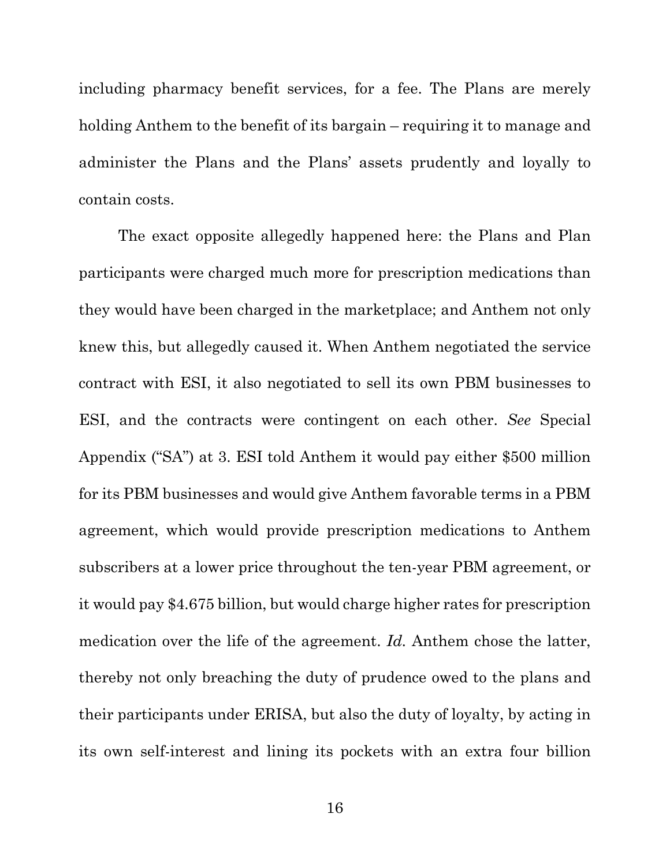including pharmacy benefit services, for a fee. The Plans are merely holding Anthem to the benefit of its bargain – requiring it to manage and administer the Plans and the Plans' assets prudently and loyally to contain costs.

The exact opposite allegedly happened here: the Plans and Plan participants were charged much more for prescription medications than they would have been charged in the marketplace; and Anthem not only knew this, but allegedly caused it. When Anthem negotiated the service contract with ESI, it also negotiated to sell its own PBM businesses to ESI, and the contracts were contingent on each other. *See* Special Appendix ("SA") at 3. ESI told Anthem it would pay either \$500 million for its PBM businesses and would give Anthem favorable terms in a PBM agreement, which would provide prescription medications to Anthem subscribers at a lower price throughout the ten-year PBM agreement, or it would pay \$4.675 billion, but would charge higher rates for prescription medication over the life of the agreement. *Id.* Anthem chose the latter, thereby not only breaching the duty of prudence owed to the plans and their participants under ERISA, but also the duty of loyalty, by acting in its own self-interest and lining its pockets with an extra four billion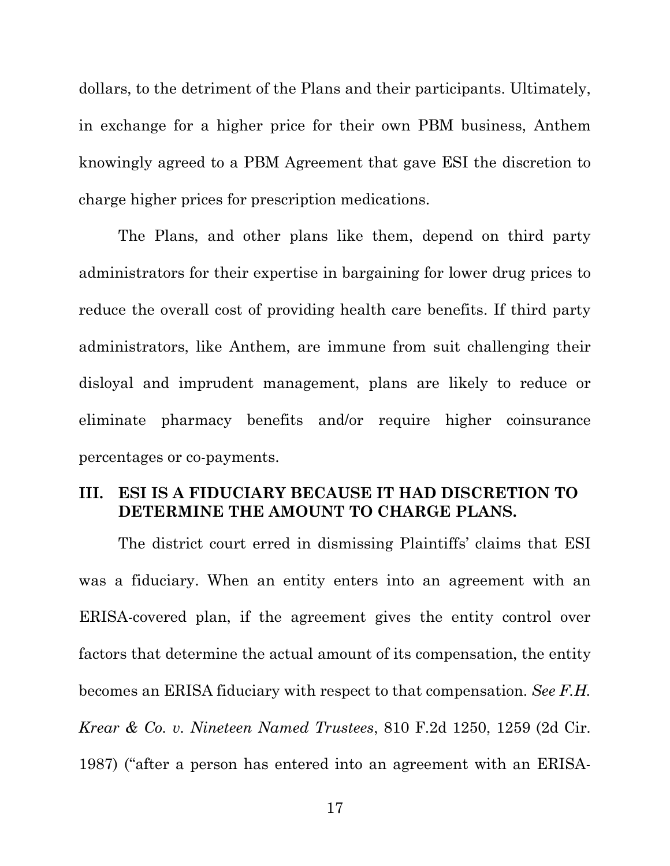dollars, to the detriment of the Plans and their participants. Ultimately, in exchange for a higher price for their own PBM business, Anthem knowingly agreed to a PBM Agreement that gave ESI the discretion to charge higher prices for prescription medications.

The Plans, and other plans like them, depend on third party administrators for their expertise in bargaining for lower drug prices to reduce the overall cost of providing health care benefits. If third party administrators, like Anthem, are immune from suit challenging their disloyal and imprudent management, plans are likely to reduce or eliminate pharmacy benefits and/or require higher coinsurance percentages or co-payments.

### **III. ESI IS A FIDUCIARY BECAUSE IT HAD DISCRETION TO DETERMINE THE AMOUNT TO CHARGE PLANS.**

The district court erred in dismissing Plaintiffs' claims that ESI was a fiduciary. When an entity enters into an agreement with an ERISA-covered plan, if the agreement gives the entity control over factors that determine the actual amount of its compensation, the entity becomes an ERISA fiduciary with respect to that compensation. *See F.H. Krear & Co. v. Nineteen Named Trustees*, 810 F.2d 1250, 1259 (2d Cir. 1987) ("after a person has entered into an agreement with an ERISA-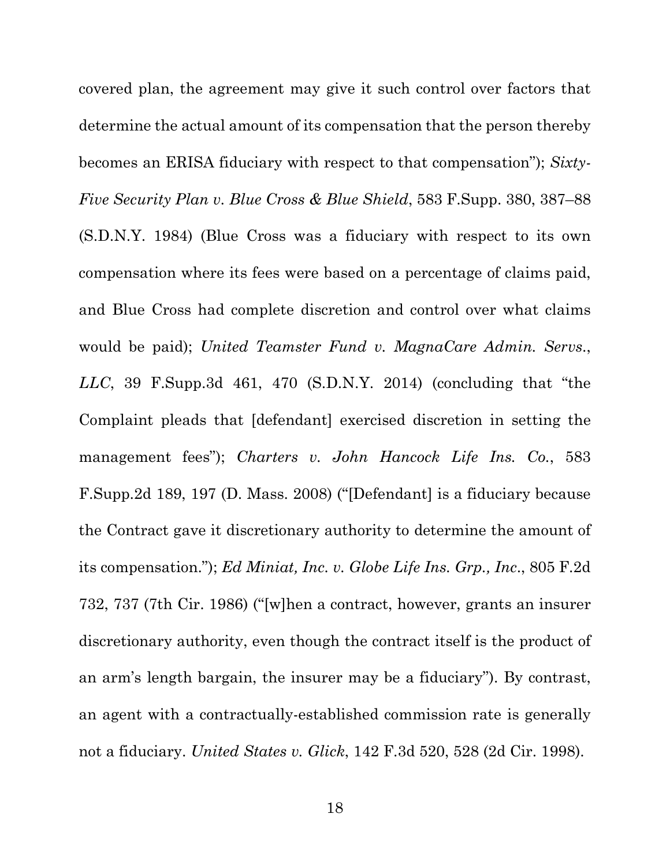covered plan, the agreement may give it such control over factors that determine the actual amount of its compensation that the person thereby becomes an ERISA fiduciary with respect to that compensation"); *Sixty-Five Security Plan v. Blue Cross & Blue Shield*, 583 F.Supp. 380, 387–88 (S.D.N.Y. 1984) (Blue Cross was a fiduciary with respect to its own compensation where its fees were based on a percentage of claims paid, and Blue Cross had complete discretion and control over what claims would be paid); *United Teamster Fund v. MagnaCare Admin. Servs*., *LLC*, 39 F.Supp.3d 461, 470 (S.D.N.Y. 2014) (concluding that "the Complaint pleads that [defendant] exercised discretion in setting the management fees"); *Charters v. John Hancock Life Ins. Co.*, 583 F.Supp.2d 189, 197 (D. Mass. 2008) ("[Defendant] is a fiduciary because the Contract gave it discretionary authority to determine the amount of its compensation."); *Ed Miniat, Inc. v. Globe Life Ins. Grp., Inc*., 805 F.2d 732, 737 (7th Cir. 1986) ("[w]hen a contract, however, grants an insurer discretionary authority, even though the contract itself is the product of an arm's length bargain, the insurer may be a fiduciary"). By contrast, an agent with a contractually-established commission rate is generally not a fiduciary. *United States v. Glick*, 142 F.3d 520, 528 (2d Cir. 1998).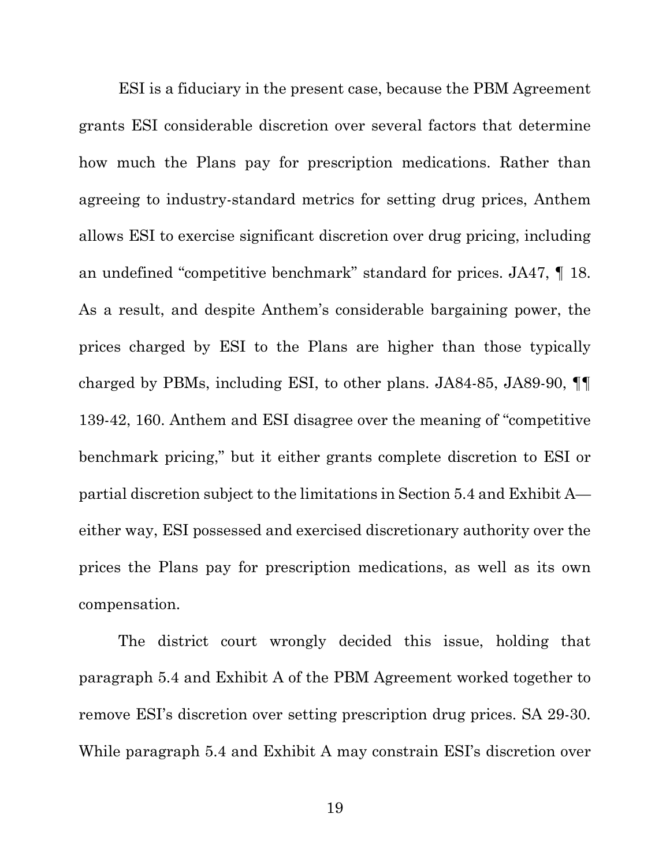ESI is a fiduciary in the present case, because the PBM Agreement grants ESI considerable discretion over several factors that determine how much the Plans pay for prescription medications. Rather than agreeing to industry-standard metrics for setting drug prices, Anthem allows ESI to exercise significant discretion over drug pricing, including an undefined "competitive benchmark" standard for prices. JA47, ¶ 18. As a result, and despite Anthem's considerable bargaining power, the prices charged by ESI to the Plans are higher than those typically charged by PBMs, including ESI, to other plans. JA84-85, JA89-90, ¶¶ 139-42, 160. Anthem and ESI disagree over the meaning of "competitive benchmark pricing," but it either grants complete discretion to ESI or partial discretion subject to the limitations in Section 5.4 and Exhibit A either way, ESI possessed and exercised discretionary authority over the prices the Plans pay for prescription medications, as well as its own compensation.

The district court wrongly decided this issue, holding that paragraph 5.4 and Exhibit A of the PBM Agreement worked together to remove ESI's discretion over setting prescription drug prices. SA 29-30. While paragraph 5.4 and Exhibit A may constrain ESI's discretion over

19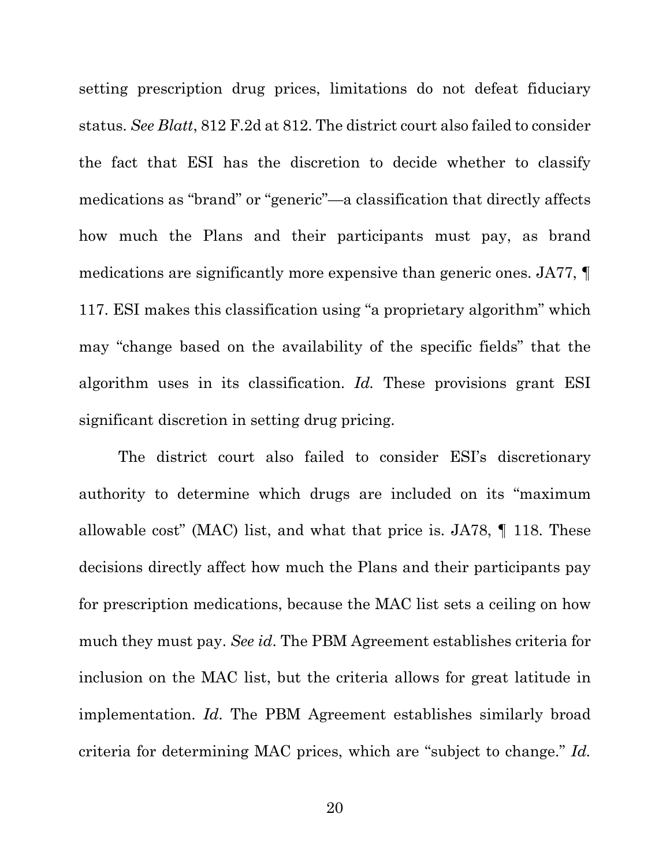setting prescription drug prices, limitations do not defeat fiduciary status. *See Blatt*, 812 F.2d at 812. The district court also failed to consider the fact that ESI has the discretion to decide whether to classify medications as "brand" or "generic"—a classification that directly affects how much the Plans and their participants must pay, as brand medications are significantly more expensive than generic ones. JA77, ¶ 117. ESI makes this classification using "a proprietary algorithm" which may "change based on the availability of the specific fields" that the algorithm uses in its classification. *Id.* These provisions grant ESI significant discretion in setting drug pricing.

The district court also failed to consider ESI's discretionary authority to determine which drugs are included on its "maximum allowable cost" (MAC) list, and what that price is. JA78, ¶ 118. These decisions directly affect how much the Plans and their participants pay for prescription medications, because the MAC list sets a ceiling on how much they must pay. *See id*. The PBM Agreement establishes criteria for inclusion on the MAC list, but the criteria allows for great latitude in implementation. *Id*. The PBM Agreement establishes similarly broad criteria for determining MAC prices, which are "subject to change." *Id.*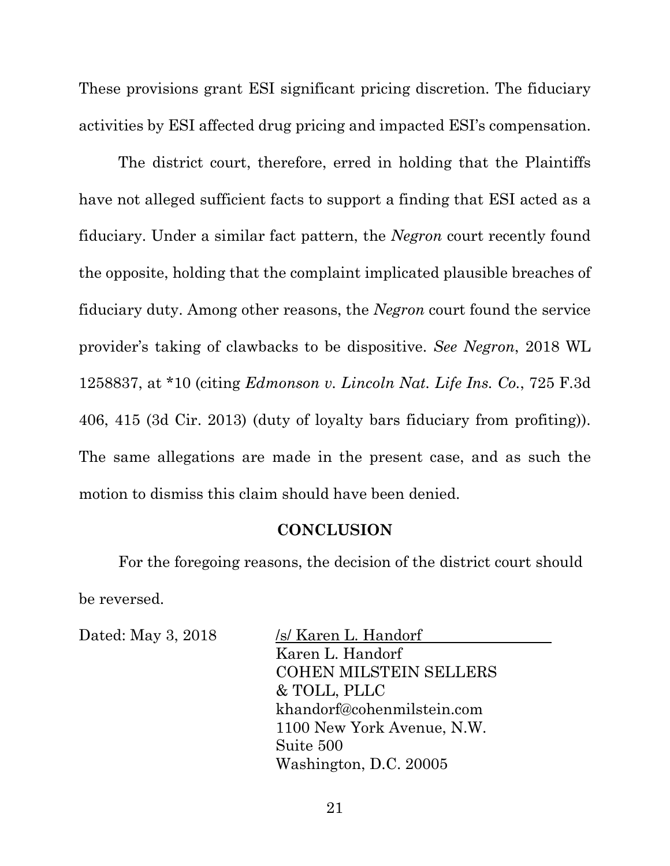These provisions grant ESI significant pricing discretion. The fiduciary activities by ESI affected drug pricing and impacted ESI's compensation.

The district court, therefore, erred in holding that the Plaintiffs have not alleged sufficient facts to support a finding that ESI acted as a fiduciary. Under a similar fact pattern, the *Negron* court recently found the opposite, holding that the complaint implicated plausible breaches of fiduciary duty. Among other reasons, the *Negron* court found the service provider's taking of clawbacks to be dispositive. *See Negron*, 2018 WL 1258837, at \*10 (citing *Edmonson v. Lincoln Nat. Life Ins. Co.*, 725 F.3d 406, 415 (3d Cir. 2013) (duty of loyalty bars fiduciary from profiting)). The same allegations are made in the present case, and as such the motion to dismiss this claim should have been denied.

#### **CONCLUSION**

For the foregoing reasons, the decision of the district court should be reversed.

Dated: May 3, 2018 /s/ Karen L. Handorf Karen L. Handorf COHEN MILSTEIN SELLERS & TOLL, PLLC khandorf@cohenmilstein.com 1100 New York Avenue, N.W. Suite 500 Washington, D.C. 20005

21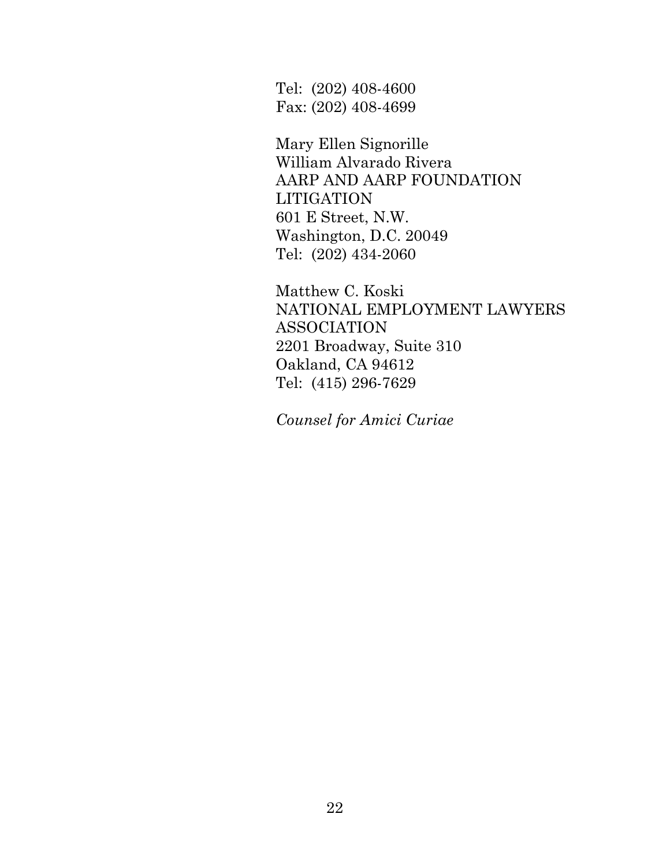Tel: (202) 408-4600 Fax: (202) 408-4699

Mary Ellen Signorille William Alvarado Rivera AARP AND AARP FOUNDATION LITIGATION 601 E Street, N.W. Washington, D.C. 20049 Tel: (202) 434-2060

Matthew C. Koski NATIONAL EMPLOYMENT LAWYERS ASSOCIATION 2201 Broadway, Suite 310 Oakland, CA 94612 Tel: (415) 296-7629

*Counsel for Amici Curiae*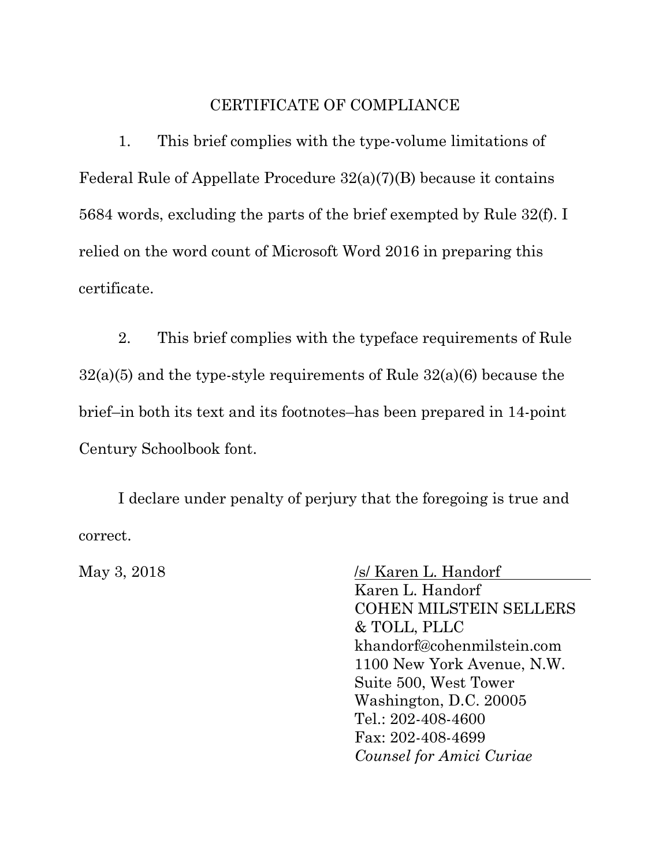#### CERTIFICATE OF COMPLIANCE

1. This brief complies with the type-volume limitations of Federal Rule of Appellate Procedure 32(a)(7)(B) because it contains 5684 words, excluding the parts of the brief exempted by Rule 32(f). I relied on the word count of Microsoft Word 2016 in preparing this certificate.

2. This brief complies with the typeface requirements of Rule 32(a)(5) and the type-style requirements of Rule 32(a)(6) because the brief–in both its text and its footnotes–has been prepared in 14-point Century Schoolbook font.

I declare under penalty of perjury that the foregoing is true and correct.

May 3, 2018 /s/ Karen L. Handorf Karen L. Handorf COHEN MILSTEIN SELLERS & TOLL, PLLC khandorf@cohenmilstein.com 1100 New York Avenue, N.W. Suite 500, West Tower Washington, D.C. 20005 Tel.: 202-408-4600 Fax: 202-408-4699 *Counsel for Amici Curiae*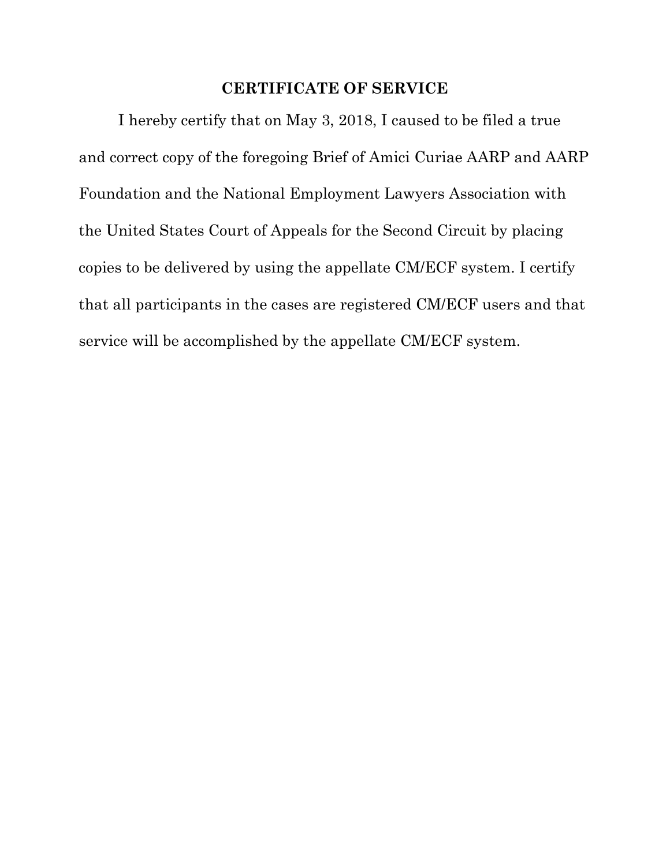## **CERTIFICATE OF SERVICE**

I hereby certify that on May 3, 2018, I caused to be filed a true and correct copy of the foregoing Brief of Amici Curiae AARP and AARP Foundation and the National Employment Lawyers Association with the United States Court of Appeals for the Second Circuit by placing copies to be delivered by using the appellate CM/ECF system. I certify that all participants in the cases are registered CM/ECF users and that service will be accomplished by the appellate CM/ECF system.